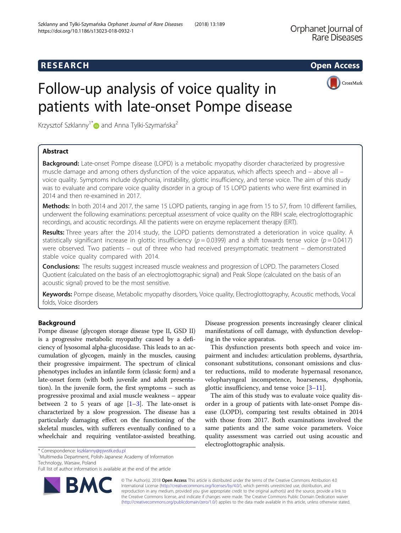# **RESEARCH RESEARCH CONSUMING ACCESS**

CrossMark

# Follow-up analysis of voice quality in patients with late-onset Pompe disease

Krzysztof Szklanny<sup>1\*</sup> and Anna Tylki-Szymańska<sup>2</sup>

# Abstract

**Background:** Late-onset Pompe disease (LOPD) is a metabolic myopathy disorder characterized by progressive muscle damage and among others dysfunction of the voice apparatus, which affects speech and – above all – voice quality. Symptoms include dysphonia, instability, glottic insufficiency, and tense voice. The aim of this study was to evaluate and compare voice quality disorder in a group of 15 LOPD patients who were first examined in 2014 and then re-examined in 2017.

Methods: In both 2014 and 2017, the same 15 LOPD patients, ranging in age from 15 to 57, from 10 different families, underwent the following examinations: perceptual assessment of voice quality on the RBH scale, electroglottographic recordings, and acoustic recordings. All the patients were on enzyme replacement therapy (ERT).

Results: Three years after the 2014 study, the LOPD patients demonstrated a deterioration in voice quality. A statistically significant increase in glottic insufficiency ( $p = 0.0399$ ) and a shift towards tense voice ( $p = 0.0417$ ) were observed. Two patients – out of three who had received presymptomatic treatment – demonstrated stable voice quality compared with 2014.

**Conclusions:** The results suggest increased muscle weakness and progression of LOPD. The parameters Closed Quotient (calculated on the basis of an electroglottographic signal) and Peak Slope (calculated on the basis of an acoustic signal) proved to be the most sensitive.

Keywords: Pompe disease, Metabolic myopathy disorders, Voice quality, Electroglottography, Acoustic methods, Vocal folds, Voice disorders

# Background

Pompe disease (glycogen storage disease type II, GSD II) is a progressive metabolic myopathy caused by a deficiency of lysosomal alpha-glucosidase. This leads to an accumulation of glycogen, mainly in the muscles, causing their progressive impairment. The spectrum of clinical phenotypes includes an infantile form (classic form) and a late-onset form (with both juvenile and adult presentation). In the juvenile form, the first symptoms – such as progressive proximal and axial muscle weakness – appear between 2 to 5 years of age  $[1-3]$  $[1-3]$  $[1-3]$  $[1-3]$  $[1-3]$ . The late-onset is characterized by a slow progression. The disease has a particularly damaging effect on the functioning of the skeletal muscles, with sufferers eventually confined to a wheelchair and requiring ventilator-assisted breathing.

<sup>1</sup>Multimedia Department, Polish-Japanese Academy of Information Technology, Warsaw, Poland

Full list of author information is available at the end of the article



Disease progression presents increasingly clearer clinical manifestations of cell damage, with dysfunction developing in the voice apparatus.

This dysfunction presents both speech and voice impairment and includes: articulation problems, dysarthria, consonant substitutions, consonant omissions and cluster reductions, mild to moderate hypernasal resonance, velopharyngeal incompetence, hoarseness, dysphonia, glottic insufficiency, and tense voice [[3](#page-5-0)–[11](#page-5-0)].

The aim of this study was to evaluate voice quality disorder in a group of patients with late-onset Pompe disease (LOPD), comparing test results obtained in 2014 with those from 2017. Both examinations involved the same patients and the same voice parameters. Voice quality assessment was carried out using acoustic and electroglottographic analysis.

© The Author(s). 2018 Open Access This article is distributed under the terms of the Creative Commons Attribution 4.0 International License [\(http://creativecommons.org/licenses/by/4.0/](http://creativecommons.org/licenses/by/4.0/)), which permits unrestricted use, distribution, and reproduction in any medium, provided you give appropriate credit to the original author(s) and the source, provide a link to the Creative Commons license, and indicate if changes were made. The Creative Commons Public Domain Dedication waiver [\(http://creativecommons.org/publicdomain/zero/1.0/](http://creativecommons.org/publicdomain/zero/1.0/)) applies to the data made available in this article, unless otherwise stated.

<sup>\*</sup> Correspondence: [kszklanny@pjwstk.edu.pl](mailto:kszklanny@pjwstk.edu.pl) <sup>1</sup>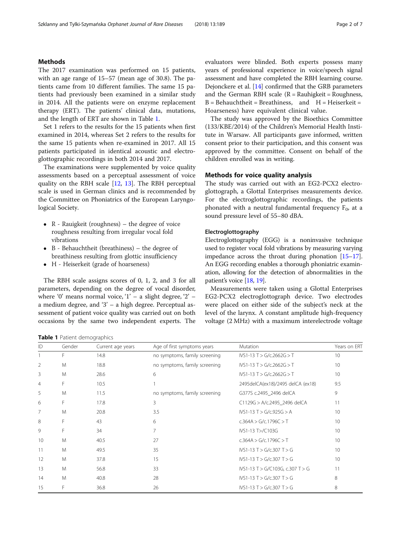The 2017 examination was performed on 15 patients, with an age range of 15–57 (mean age of 30.8). The patients came from 10 different families. The same 15 patients had previously been examined in a similar study in 2014. All the patients were on enzyme replacement therapy (ERT). The patients' clinical data, mutations, and the length of ERT are shown in Table 1.

Set 1 refers to the results for the 15 patients when first examined in 2014, whereas Set 2 refers to the results for the same 15 patients when re-examined in 2017. All 15 patients participated in identical acoustic and electroglottographic recordings in both 2014 and 2017.

The examinations were supplemented by voice quality assessments based on a perceptual assessment of voice quality on the RBH scale [\[12](#page-5-0), [13](#page-5-0)]. The RBH perceptual scale is used in German clinics and is recommended by the Committee on Phoniatrics of the European Laryngological Society.

- $R$  Rauigkeit (roughness) the degree of voice roughness resulting from irregular vocal fold vibrations
- B Behauchtheit (breathiness) the degree of breathiness resulting from glottic insufficiency
- H Heiserkeit (grade of hoarseness)

The RBH scale assigns scores of 0, 1, 2, and 3 for all parameters, depending on the degree of vocal disorder, where '0' means normal voice, '1' – a slight degree, '2' – a medium degree, and '3' – a high degree. Perceptual assessment of patient voice quality was carried out on both occasions by the same two independent experts. The

Table 1 Patient demographics

evaluators were blinded. Both experts possess many years of professional experience in voice/speech signal assessment and have completed the RBH learning course. Dejonckere et al. [\[14](#page-5-0)] confirmed that the GRB parameters and the German RBH scale  $(R = \text{Rauhigh}$ eit = Roughness,  $B =$  Behauchtheit = Breathiness, and  $H =$  Heiserkeit = Hoarseness) have equivalent clinical value.

The study was approved by the Bioethics Committee (133/KBE/2014) of the Children's Memorial Health Institute in Warsaw. All participants gave informed, written consent prior to their participation, and this consent was approved by the committee. Consent on behalf of the children enrolled was in writing.

# Methods for voice quality analysis

The study was carried out with an EG2-PCX2 electroglottograph, a Glottal Enterprises measurements device. For the electroglottographic recordings, the patients phonated with a neutral fundamental frequency  $F_0$ , at a sound pressure level of 55–80 dBA.

# Electroglottography

Electroglottography (EGG) is a noninvasive technique used to register vocal fold vibrations by measuring varying impedance across the throat during phonation [\[15](#page-5-0)–[17](#page-5-0)]. An EGG recording enables a thorough phoniatric examination, allowing for the detection of abnormalities in the patient's voice [\[18,](#page-5-0) [19](#page-5-0)].

Measurements were taken using a Glottal Enterprises EG2-PCX2 electroglottograph device. Two electrodes were placed on either side of the subject's neck at the level of the larynx. A constant amplitude high-frequency voltage (2 MHz) with a maximum interelectrode voltage

| ID             | Gender | Current age years | Age of first symptoms years   | Mutation                          | Years on ERT    |
|----------------|--------|-------------------|-------------------------------|-----------------------------------|-----------------|
|                | F      | 14.8              | no symptoms, family screening | $IVS1-13 T > G/c.2662G > T$       | 10              |
| $\overline{2}$ | M      | 18.8              | no symptoms, family screening | $IVS1-13 T > G/c.2662G > T$       | 10              |
| 3              | M      | 28.6              | 6                             | $IVS1-13 T > G/c.2662G > T$       | 10              |
| $\overline{4}$ | F      | 10.5              |                               | 2495delCA(ex18)/2495 delCA (ex18) | 9.5             |
| 5              | M      | 11.5              | no symptoms, family screening | G377S c.2495 2496 delCA           | 9               |
| 6              | F      | 17.8              | 3                             | C1129G > A/c.2495 2496 delCA      | 11              |
| 7              | M      | 20.8              | 3.5                           | $IVS1-13 T > G/c.925G > A$        | 10 <sup>2</sup> |
| 8              |        | 43                | 6                             | c.364A > G/c.1796C > T            | 10              |
| 9              |        | 34                | 7                             | IVS1-13 T>/C103G                  | 10 <sup>2</sup> |
| 10             | M      | 40.5              | 27                            | c.364A > G/c.1796C > T            | 10 <sup>2</sup> |
| 11             | M      | 49.5              | 35                            | $IVS1-13 T > G/c.307 T > G$       | 10              |
| 12             | M      | 37.8              | 15                            | $IVS1-13 T > G/c.307 T > G$       | 10              |
| 13             | M      | 56.8              | 33                            | IVS1-13 T > G/C103G, c.307 T > G  | 11              |
| 14             | M      | 40.8              | 28                            | $IVS1-13 T > G/c.307 T > G$       | 8               |
| 15             |        | 36.8              | 26                            | $IVS1-13 T > G/c.307 T > G$       | 8               |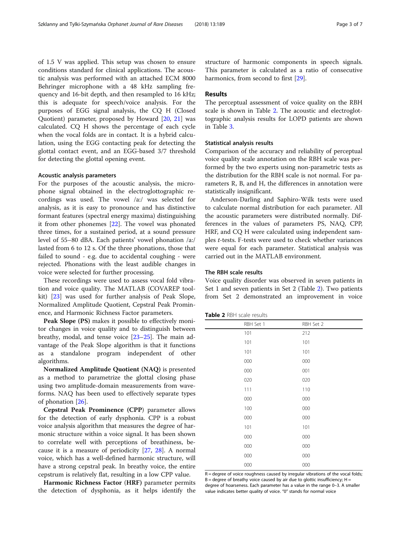of 1.5 V was applied. This setup was chosen to ensure conditions standard for clinical applications. The acoustic analysis was performed with an attached ECM 8000 Behringer microphone with a 48 kHz sampling frequency and 16-bit depth, and then resampled to 16 kHz; this is adequate for speech/voice analysis. For the purposes of EGG signal analysis, the CQ H (Closed Quotient) parameter, proposed by Howard [[20](#page-5-0), [21](#page-5-0)] was calculated. CQ H shows the percentage of each cycle when the vocal folds are in contact. It is a hybrid calculation, using the EGG contacting peak for detecting the glottal contact event, and an EGG-based 3/7 threshold for detecting the glottal opening event.

## Acoustic analysis parameters

For the purposes of the acoustic analysis, the microphone signal obtained in the electroglottographic recordings was used. The vowel /a:/ was selected for analysis, as it is easy to pronounce and has distinctive formant features (spectral energy maxima) distinguishing it from other phonemes [[22](#page-5-0)]. The vowel was phonated three times, for a sustained period, at a sound pressure level of 55–80 dBA. Each patients' vowel phonation /a:/ lasted from 6 to 12 s. Of the three phonations, those that failed to sound - e.g. due to accidental coughing - were rejected. Phonations with the least audible changes in voice were selected for further processing.

These recordings were used to assess vocal fold vibration and voice quality. The MATLAB (COVAREP toolkit) [[23\]](#page-5-0) was used for further analysis of Peak Slope, Normalized Amplitude Quotient, Cepstral Peak Prominence, and Harmonic Richness Factor parameters.

Peak Slope (PS) makes it possible to effectively monitor changes in voice quality and to distinguish between breathy, modal, and tense voice [[23](#page-5-0)–[25](#page-5-0)]. The main advantage of the Peak Slope algorithm is that it functions as a standalone program independent of other algorithms.

Normalized Amplitude Quotient (NAQ) is presented as a method to parametrize the glottal closing phase using two amplitude-domain measurements from waveforms. NAQ has been used to effectively separate types of phonation [\[26](#page-6-0)].

Cepstral Peak Prominence (CPP) parameter allows for the detection of early dysphonia. CPP is a robust voice analysis algorithm that measures the degree of harmonic structure within a voice signal. It has been shown to correlate well with perceptions of breathiness, because it is a measure of periodicity [\[27](#page-6-0), [28](#page-6-0)]. A normal voice, which has a well-defined harmonic structure, will have a strong cepstral peak. In breathy voice, the entire cepstrum is relatively flat, resulting in a low CPP value.

Harmonic Richness Factor (HRF) parameter permits the detection of dysphonia, as it helps identify the structure of harmonic components in speech signals. This parameter is calculated as a ratio of consecutive harmonics, from second to first [\[29](#page-6-0)].

## Results

The perceptual assessment of voice quality on the RBH scale is shown in Table 2. The acoustic and electroglottographic analysis results for LOPD patients are shown in Table [3.](#page-3-0)

## Statistical analysis results

Comparison of the accuracy and reliability of perceptual voice quality scale annotation on the RBH scale was performed by the two experts using non-parametric tests as the distribution for the RBH scale is not normal. For parameters R, B, and H, the differences in annotation were statistically insignificant.

Anderson-Darling and Saphiro-Wilk tests were used to calculate normal distribution for each parameter. All the acoustic parameters were distributed normally. Differences in the values of parameters PS, NAQ, CPP, HRF, and CQ H were calculated using independent samples t-tests. F-tests were used to check whether variances were equal for each parameter. Statistical analysis was carried out in the MATLAB environment.

# The RBH scale results

Voice quality disorder was observed in seven patients in Set 1 and seven patients in Set 2 (Table 2). Two patients from Set 2 demonstrated an improvement in voice

| RBH Set 1 | RBH Set 2 |
|-----------|-----------|
| 101       | 212       |
| 101       | 101       |
| 101       | 101       |
| 000       | 000       |
| 000       | 001       |
| 020       | 020       |
| 111       | 110       |
| 000       | 000       |
| 100       | 000       |
| 000       | 000       |
| 101       | 101       |
| 000       | 000       |
| 000       | 000       |
| 000       | 000       |
| 000       | 000       |
|           |           |

R = degree of voice roughness caused by irregular vibrations of the vocal folds;  $B =$  degree of breathy voice caused by air due to glottic insufficiency; H = degree of hoarseness. Each parameter has a value in the range 0–3. A smaller value indicates better quality of voice. "0" stands for normal voice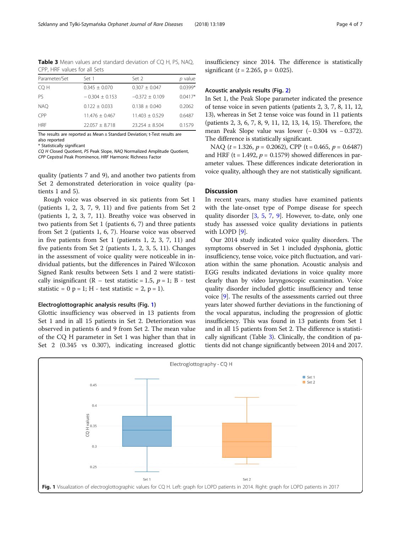| Parameter/Set | Set 1              | Set 2              | p value   |  |  |  |
|---------------|--------------------|--------------------|-----------|--|--|--|
| CQ H          | $0.345 \pm 0.070$  | $0.307 \pm 0.047$  | $0.0399*$ |  |  |  |
| PS            | $-0.304 \pm 0.153$ | $-0.372 \pm 0.109$ | $0.0417*$ |  |  |  |
| NAO.          | $0.122 + 0.033$    | $0.138 + 0.040$    | 0.2062    |  |  |  |
| CPP           | $11.476 + 0.467$   | $11.403 + 0.529$   | 0.6487    |  |  |  |
| <b>HRF</b>    | $22.057 + 8.718$   | $23.254 + 8.504$   | 0.1579    |  |  |  |

<span id="page-3-0"></span>Table 3 Mean values and standard deviation of CQ H, PS, NAQ, CPP, HRF values for all Sets

The results are reported as Mean ± Standard Deviation; t-Test results are also reported

\* Statistically significant

CQ H Closed Quotient, PS Peak Slope, NAQ Normalized Amplitude Quotient, CPP Cepstral Peak Prominence, HRF Harmonic Richness Factor

quality (patients 7 and 9), and another two patients from Set 2 demonstrated deterioration in voice quality (patients 1 and 5).

Rough voice was observed in six patients from Set 1 (patients 1, 2, 3, 7, 9, 11) and five patients from Set 2 (patients 1, 2, 3, 7, 11). Breathy voice was observed in two patients from Set 1 (patients 6, 7) and three patients from Set 2 (patients 1, 6, 7). Hoarse voice was observed in five patients from Set 1 (patients 1, 2, 3, 7, 11) and five patients from Set 2 (patients 1, 2, 3, 5, 11). Changes in the assessment of voice quality were noticeable in individual patients, but the differences in Paired Wilcoxon Signed Rank results between Sets 1 and 2 were statistically insignificant (R – test statistic = 1.5,  $p = 1$ ; B - test statistic = 0  $p = 1$ ; H - test statistic = 2,  $p = 1$ ).

#### Electroglottographic analysis results (Fig. 1)

Glottic insufficiency was observed in 13 patients from Set 1 and in all 15 patients in Set 2. Deterioration was observed in patients 6 and 9 from Set 2. The mean value of the CQ H parameter in Set 1 was higher than that in Set 2 (0.345 vs 0.307), indicating increased glottic insufficiency since 2014. The difference is statistically significant ( $t = 2.265$ ,  $p = 0.025$ ).

#### Acoustic analysis results (Fig. [2\)](#page-4-0)

In Set 1, the Peak Slope parameter indicated the presence of tense voice in seven patients (patients 2, 3, 7, 8, 11, 12, 13), whereas in Set 2 tense voice was found in 11 patients (patients 2, 3, 6, 7, 8, 9, 11, 12, 13, 14, 15). Therefore, the mean Peak Slope value was lower (− 0.304 vs − 0.372). The difference is statistically significant.

NAQ  $(t = 1.326, p = 0.2062)$ , CPP  $(t = 0.465, p = 0.6487)$ and HRF ( $t = 1.492$ ,  $p = 0.1579$ ) showed differences in parameter values. These differences indicate deterioration in voice quality, although they are not statistically significant.

# **Discussion**

In recent years, many studies have examined patients with the late-onset type of Pompe disease for speech quality disorder [\[3](#page-5-0), [5](#page-5-0), [7](#page-5-0), [9](#page-5-0)]. However, to-date, only one study has assessed voice quality deviations in patients with LOPD [[9](#page-5-0)].

Our 2014 study indicated voice quality disorders. The symptoms observed in Set 1 included dysphonia, glottic insufficiency, tense voice, voice pitch fluctuation, and variation within the same phonation. Acoustic analysis and EGG results indicated deviations in voice quality more clearly than by video laryngoscopic examination. Voice quality disorder included glottic insufficiency and tense voice [\[9](#page-5-0)]. The results of the assessments carried out three years later showed further deviations in the functioning of the vocal apparatus, including the progression of glottic insufficiency. This was found in 13 patients from Set 1 and in all 15 patients from Set 2. The difference is statistically significant (Table 3). Clinically, the condition of patients did not change significantly between 2014 and 2017.

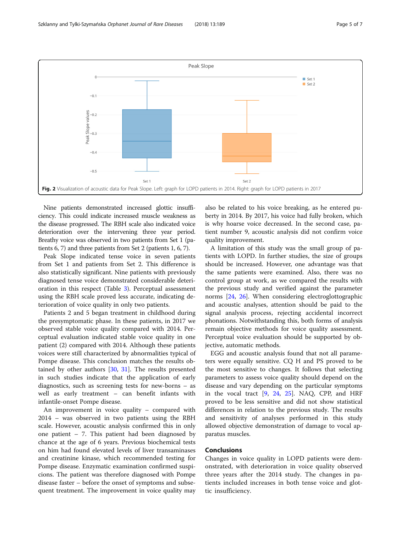<span id="page-4-0"></span>

Nine patients demonstrated increased glottic insufficiency. This could indicate increased muscle weakness as the disease progressed. The RBH scale also indicated voice deterioration over the intervening three year period. Breathy voice was observed in two patients from Set 1 (patients 6, 7) and three patients from Set 2 (patients 1, 6, 7).

Peak Slope indicated tense voice in seven patients from Set 1 and patients from Set 2. This difference is also statistically significant. Nine patients with previously diagnosed tense voice demonstrated considerable deterioration in this respect (Table [3\)](#page-3-0). Perceptual assessment using the RBH scale proved less accurate, indicating deterioration of voice quality in only two patients.

Patients 2 and 5 began treatment in childhood during the presymptomatic phase. In these patients, in 2017 we observed stable voice quality compared with 2014. Perceptual evaluation indicated stable voice quality in one patient (2) compared with 2014. Although these patients voices were still characterized by abnormalities typical of Pompe disease. This conclusion matches the results obtained by other authors [[30,](#page-6-0) [31\]](#page-6-0). The results presented in such studies indicate that the application of early diagnostics, such as screening tests for new-borns – as well as early treatment – can benefit infants with infantile-onset Pompe disease.

An improvement in voice quality – compared with 2014 – was observed in two patients using the RBH scale. However, acoustic analysis confirmed this in only one patient – 7. This patient had been diagnosed by chance at the age of 6 years. Previous biochemical tests on him had found elevated levels of liver transaminases and creatinine kinase, which recommended testing for Pompe disease. Enzymatic examination confirmed suspicions. The patient was therefore diagnosed with Pompe disease faster – before the onset of symptoms and subsequent treatment. The improvement in voice quality may also be related to his voice breaking, as he entered puberty in 2014. By 2017, his voice had fully broken, which is why hoarse voice decreased. In the second case, patient number 9, acoustic analysis did not confirm voice quality improvement.

A limitation of this study was the small group of patients with LOPD. In further studies, the size of groups should be increased. However, one advantage was that the same patients were examined. Also, there was no control group at work, as we compared the results with the previous study and verified against the parameter norms [[24,](#page-5-0) [26](#page-6-0)]. When considering electroglottographic and acoustic analyses, attention should be paid to the signal analysis process, rejecting accidental incorrect phonations. Notwithstanding this, both forms of analysis remain objective methods for voice quality assessment. Perceptual voice evaluation should be supported by objective, automatic methods.

EGG and acoustic analysis found that not all parameters were equally sensitive. CQ H and PS proved to be the most sensitive to changes. It follows that selecting parameters to assess voice quality should depend on the disease and vary depending on the particular symptoms in the vocal tract [\[9](#page-5-0), [24](#page-5-0), [25](#page-5-0)]. NAQ, CPP, and HRF proved to be less sensitive and did not show statistical differences in relation to the previous study. The results and sensitivity of analyses performed in this study allowed objective demonstration of damage to vocal apparatus muscles.

#### Conclusions

Changes in voice quality in LOPD patients were demonstrated, with deterioration in voice quality observed three years after the 2014 study. The changes in patients included increases in both tense voice and glottic insufficiency.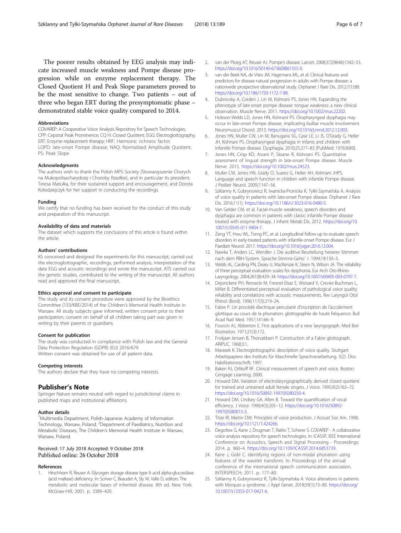<span id="page-5-0"></span>The poorer results obtained by EEG analysis may indicate increased muscle weakness and Pompe disease progression while on enzyme replacement therapy. The Closed Quotient H and Peak Slope parameters proved to be the most sensitive to change. Two patients – out of three who began ERT during the presymptomatic phase – demonstrated stable voice quality compared to 2014.

#### Abbreviations

COVAREP: A Cooperative Voice Analysis Repository for Speech Technologies; CPP: Cepstral Peak Prominence; CQ H: Closed Quotient; EGG: Electroglottography; ERT: Enzyme replacement therapy; HRF: Harmonic richness factor; LOPD: late-onset Pompe disease; NAQ: Normalized Amplitude Quotient; PS: Peak Slope

#### Acknowledgments

The authors wish to thank the Polish MPS Society (Stowarzyszenie Chorych na Mukopolisacharydozę i Choroby Rzadkie), and in particular its president, Teresa Matulka, for their sustained support and encouragement, and Dorota Kołodziejczyk for her support in conducting the recordings.

#### Funding

We certify that no funding has been received for the conduct of this study and preparation of this manuscript.

#### Availability of data and materials

The dataset which supports the conclusions of this article is found within the article.

#### Authors' contributions

KS conceived and designed the experiments for this manuscript, carried out the electroglottographic, recordings, performed analysis, interpretation of the data EGG and acoustic recordings and wrote the manuscript. ATS carried out the genetic studies, contributed to the writing of the manuscript. All authors read and approved the final manuscript.

#### Ethics approval and consent to participate

The study and its consent procedure were approved by the Bioethics Committee (133/KBE/2014) of the Children's Memorial Health Institute in Warsaw. All study subjects gave informed, written consent prior to their participation; consent on behalf of all children taking part was given in writing by their parents or guardians.

#### Consent for publication

The study was conducted in compliance with Polish law and the General Data Protection Regulation (GDPR) (EU) 2016/679. Written consent was obtained for use of all patient data.

#### Competing interests

The authors declare that they have no competing interests.

### Publisher's Note

Springer Nature remains neutral with regard to jurisdictional claims in published maps and institutional affiliations.

#### Author details

<sup>1</sup>Multimedia Department, Polish-Japanese Academy of Information Technology, Warsaw, Poland. <sup>2</sup>Department of Paediatrics, Nutrition and Metabolic Diseases, The Children's Memorial Health Institute in Warsaw, Warsaw, Poland.

#### Received: 17 July 2018 Accepted: 9 October 2018 Published online: 26 October 2018

#### References

1. Hirschhorn R, Reuser A. Glycogen storage disease type II: acid alpha-glucosidase (acid maltase) deficiency. In: Scriver C, Beaudet A, Sly W, Valle D, editors. The metabolic and molecular bases of inherited disease. 8th ed. New York: McGraw-Hill; 2001. p. 3389–420.

- 2. van der Ploeg AT, Reuser AJ. Pompe's disease. Lancet. 2008;372(9646):1342–53. [https://doi.org/10.1016/S0140-6736\(08\)61555-X](https://doi.org/10.1016/S0140-6736(08)61555-X).
- 3. van der Beek NA, de Vries JM, Hagemans ML, et al. Clinical features and predictors for disease natural progression in adults with Pompe disease: a nationwide prospective observational study. Orphanet J Rare Dis. 2012;7(1):88. <https://doi.org/10.1186/1750-1172-7-88>.
- 4. Dubrovsky A, Corderi J, Lin M, Kishnani PS, Jones HN. Expanding the phenotype of late-onset pompe disease: tongue weakness: a new clinical observation. Muscle Nerve. 2011. [https://doi.org/10.1002/mus.22202.](https://doi.org/10.1002/mus.22202)
- 5. Hobson-Webb LD, Jones HN, Kishnani PS. Oropharyngeal dysphagia may occur in late-onset Pompe disease, implicating bulbar muscle involvement. Neuromuscul Disord. 2013. <https://doi.org/10.1016/j.nmd.2012.12.003>.
- 6. Jones HN, Muller CW, Lin M, Banugaria SG, Case LE, Li JS, O'Grady G, Heller JH, Kishnani PS. Oropharyngeal dysphagia in infants and children with infantile Pompe disease. Dysphagia. 2010;25:277–83 [PubMed: 19763689].
- 7. Jones HN, Crisp KD, Asrani P, Sloane R, Kishnani PS. Quantitative assessment of lingual strength in late-onset Pompe disease. Muscle Nerve. 2015. [https://doi.org/10.1002/mus.24523.](https://doi.org/10.1002/mus.24523)
- 8. Muller CW, Jones HN, Grady O, Suarez G, Heller AH, Kishnani JHPS. Language and speech function in children with infantile Pompe disease. J Pediatr Neurol. 2009;7:147–56.
- 9. Szklanny K, Gubrynowicz R, Iwanicka-Pronicka K, Tylki-Szymańska A. Analysis of voice quality in patients with late-onset Pompe disease. Orphanet J Rare Dis. 2016;11(1). <https://doi.org/10.1186/s13023-016-0480-5>.
- 10. Van Gelder CM, et al. Facial-muscle weakness, speech disorders and dysphagia are common in patients with classic infantile Pompe disease treated with enzyme therapy. J Inherit Metab Dis. 2012. [https://doi.org/10.](https://doi.org/10.1007/s10545-011-9404-7) [1007/s10545-011-9404-7](https://doi.org/10.1007/s10545-011-9404-7).
- 11. Zeng YT, Hwu WL, Torng PC, et al. Longitudinal follow-up to evaluate speech disorders in early-treated patients with infantile-onset Pompe disease. Eur J Paediatr Neurol. 2017. [https://doi.org/10.1016/j.ejpn.2016.12.004.](https://doi.org/10.1016/j.ejpn.2016.12.004)
- 12. Nawka T, Anders LC, Wendler J. Die auditive Beurteilung heiserer Stimmen nach dem RBH-System. Sprache-Stimme-Geho¨ r. 1994;18:130–3.
- 13. Webb AL, Carding PN, Deary IJ, MacKenzie K, Steen N, Wilson JA. The reliability of three perceptual evaluation scales for dysphonia. Eur Arch Oto-Rhino-Laryngology. 2004;261(8):429–34. <https://doi.org/10.1007/s00405-003-0707-7>.
- 14. Dejonckere PH, Remacle M, Fresnel-Ebaz E, Woisard V, Crevier-Buchman L, Millet B. Differentiated perceptual evaluation of pathological voice quality: reliability and correlations with acoustic measurements. Rev Laryngol Otol Rhinol (Bord). 1996;117(3):219–24.
- 15. Fabre P. Un procédé électrique percutané d'inscription de l'accolement glottique au cours de la phonation: glottographie de haute fréquence. Bull Acad Natl Med. 1957;141:66–9.
- 16. Fourcin AJ, Abberton E. First applications of a new laryngograph. Med Biol Illustration. 1971;21(3):172.
- 17. Frokjaer-Jensen B, Thorvaldsen P. Construction of a Fabre glottograph. ARIPUC. 1968;3:1.
- 18. Marasek K. Electroglottographic description of voice quality. Stuttgart: Arbeitspapiere des Instituts für Maschinelle Sprachverarbeitung. 3(2). Diss. Habilitationsschrift; 1997.
- 19. Baken RJ, Orlikoff RF. Clinical measurement of speech and voice. Boston: Cengage Learning; 2000.
- 20. Howard DM. Variation of electrolaryngographically derived closed quotient for trained and untrained adult female singers. J Voice. 1995;9(2):163–72. [https://doi.org/10.1016/S0892-1997\(05\)80250-4.](https://doi.org/10.1016/S0892-1997(05)80250-4)
- 21. Howard DM, Lindsey GA, Allen B. Toward the quantification of vocal efficiency. J Voice. 1990;4(3):205–12. [https://doi.org/10.1016/S0892-](https://doi.org/10.1016/S0892-1997(05)80015-3) [1997\(05\)80015-3](https://doi.org/10.1016/S0892-1997(05)80015-3).
- 22. Titze IR, Martin DW. Principles of voice production. J Acoust Soc Am. 1998. [https://doi.org/10.1121/1.424266.](https://doi.org/10.1121/1.424266)
- 23. Degottex G, Kane J, Drugman T, Raitio T, Scherer S. COVAREP A collaborative voice analysis repository for speech technologies. In: ICASSP, IEEE International Conference on Acoustics, Speech and Signal Processing - Proceedings; 2014. p. 960–4. <https://doi.org/10.1109/ICASSP.2014.6853739>.
- 24. Kane J, Gobl C. Identifying regions of non-modal phonation using features of the wavelet transform. In: Proceedings of the annual conference of the international speech communication association, INTERSPEECH; 2011. p. 177–80.
- 25. Szklanny K, Gubrynowicz R, Tylki-Szymańska A. Voice alterations in patients with Morquio a syndrome. J Appl Genet. 2018;59(1):73–80. [https://doi.org/](https://doi.org/10.1007/s13353-017-0421-6) [10.1007/s13353-017-0421-6](https://doi.org/10.1007/s13353-017-0421-6).